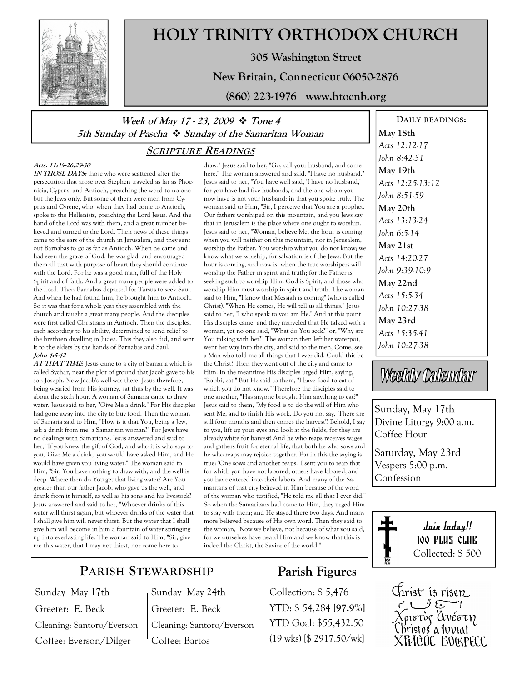

# HOLY TRINITY ORTHODOX CHURCH

305 Washington Street

New Britain, Connecticut 06050-2876

(860) 223-1976 www.htocnb.org

## Week of May 17 - 23, 2009  $\div$  Tone 4 5th Sunday of Pascha  $\dot{\mathbf{v}}$  Sunday of the Samaritan Woman

### SCRIPTURE READINGS

#### Acts. 11:19-26,29-30

IN THOSE DAYS: those who were scattered after the persecution that arose over Stephen traveled as far as Phoenicia, Cyprus, and Antioch, preaching the word to no one but the Jews only. But some of them were men from Cyprus and Cyrene, who, when they had come to Antioch, spoke to the Hellenists, preaching the Lord Jesus. And the hand of the Lord was with them, and a great number believed and turned to the Lord. Then news of these things came to the ears of the church in Jerusalem, and they sent out Barnabas to go as far as Antioch. When he came and had seen the grace of God, he was glad, and encouraged them all that with purpose of heart they should continue with the Lord. For he was a good man, full of the Holy Spirit and of faith. And a great many people were added to the Lord. Then Barnabas departed for Tarsus to seek Saul. And when he had found him, he brought him to Antioch. So it was that for a whole year they assembled with the church and taught a great many people. And the disciples were first called Christians in Antioch. Then the disciples, each according to his ability, determined to send relief to the brethren dwelling in Judea. This they also did, and sent it to the elders by the hands of Barnabas and Saul. John 4:5-42

AT THAT TIME: Jesus came to a city of Samaria which is called Sychar, near the plot of ground that Jacob gave to his son Joseph. Now Jacob's well was there. Jesus therefore, being wearied from His journey, sat thus by the well. It was about the sixth hour. A woman of Samaria came to draw water. Jesus said to her, "Give Me a drink." For His disciples had gone away into the city to buy food. Then the woman of Samaria said to Him, "How is it that You, being a Jew, ask a drink from me, a Samaritan woman?" For Jews have no dealings with Samaritans. Jesus answered and said to her, "If you knew the gift of God, and who it is who says to you, 'Give Me a drink,' you would have asked Him, and He would have given you living water." The woman said to Him, "Sir, You have nothing to draw with, and the well is deep. Where then do You get that living water? Are You greater than our father Jacob, who gave us the well, and drank from it himself, as well as his sons and his livestock? Jesus answered and said to her, "Whoever drinks of this water will thirst again, but whoever drinks of the water that I shall give him will never thirst. But the water that I shall give him will become in him a fountain of water springing up into everlasting life. The woman said to Him, "Sir, give me this water, that I may not thirst, nor come here to

draw." Jesus said to her, "Go, call your husband, and come here." The woman answered and said, "I have no husband." Jesus said to her, "You have well said, 'I have no husband,' for you have had five husbands, and the one whom you now have is not your husband; in that you spoke truly. The woman said to Him, "Sir, I perceive that You are a prophet. Our fathers worshiped on this mountain, and you Jews say that in Jerusalem is the place where one ought to worship. Jesus said to her, "Woman, believe Me, the hour is coming when you will neither on this mountain, nor in Jerusalem, worship the Father. You worship what you do not know; we know what we worship, for salvation is of the Jews. But the hour is coming, and now is, when the true worshipers will worship the Father in spirit and truth; for the Father is seeking such to worship Him. God is Spirit, and those who worship Him must worship in spirit and truth. The woman said to Him, "I know that Messiah is coming" (who is called Christ). "When He comes, He will tell us all things." Jesus said to her, "I who speak to you am He." And at this point His disciples came, and they marveled that He talked with a woman; yet no one said, "What do You seek?" or, "Why are You talking with her?" The woman then left her waterpot, went her way into the city, and said to the men, Come, see a Man who told me all things that I ever did. Could this be the Christ? Then they went out of the city and came to Him. In the meantime His disciples urged Him, saying, "Rabbi, eat." But He said to them, "I have food to eat of which you do not know." Therefore the disciples said to one another, "Has anyone brought Him anything to eat?" Jesus said to them, "My food is to do the will of Him who sent Me, and to finish His work. Do you not say, 'There are still four months and then comes the harvest'? Behold, I say to you, lift up your eyes and look at the fields, for they are already white for harvest! And he who reaps receives wages, and gathers fruit for eternal life, that both he who sows and he who reaps may rejoice together. For in this the saying is true: 'One sows and another reaps.' I sent you to reap that for which you have not labored; others have labored, and you have entered into their labors. And many of the Samaritans of that city believed in Him because of the word of the woman who testified, "He told me all that I ever did." So when the Samaritans had come to Him, they urged Him to stay with them; and He stayed there two days. And many more believed because of His own word. Then they said to the woman, "Now we believe, not because of what you said, for we ourselves have heard Him and we know that this is indeed the Christ, the Savior of the world."

# PARISH STEWARDSHIP

Sunday May 17th Greeter: E. Beck Cleaning: Santoro/Everson Coffee: Everson/Dilger

Sunday May 24th Greeter: E. Beck Cleaning: Santoro/Everson Coffee: Bartos

# Parish Figures

Collection: \$ 5,476 YTD: \$ 54,284 [97.9%] YTD Goal: \$55,432.50 (19 wks) [\$ 2917.50/wk]

DAILY READINGS: May 18th Acts 12:12-17 John 8:42-51 May 19th Acts 12:25-13:12 John 8:51-59 May 20th Acts 13:13-24 John 6:5-14 May 21st Acts 14:20-27 John 9:39-10:9 May 22nd Acts 15:5-34 John 10:27-38 May 23rd Acts 15:35-41 John 10:27-38

# Weekly Calendar

Sunday, May 17th Divine Liturgy 9:00 a.m. Coffee Hour

Saturday, May 23rd Vespers 5:00 p.m. Confession



Join today!! 100 PLUS CLUB Collected: \$ 500

Christ is risen Xpiere de Composition